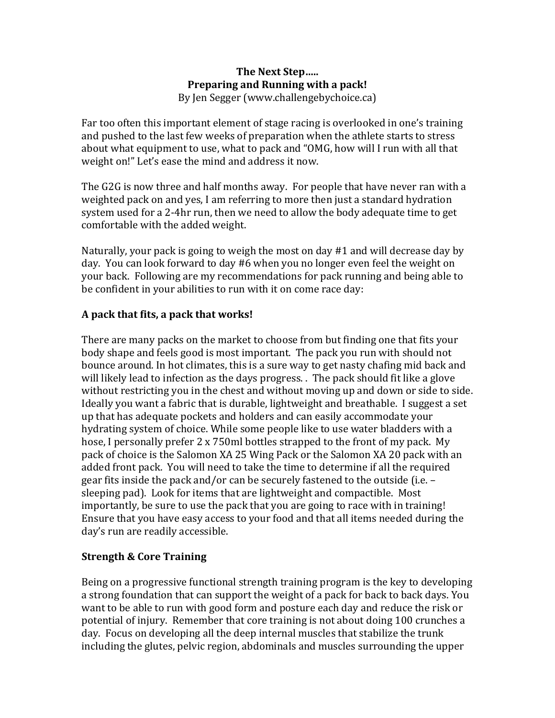## **The Next Step..... Preparing and Running with a pack!** By Jen Segger (www.challengebychoice.ca)

Far too often this important element of stage racing is overlooked in one's training and pushed to the last few weeks of preparation when the athlete starts to stress about what equipment to use, what to pack and "OMG, how will I run with all that weight on!" Let's ease the mind and address it now.

The G2G is now three and half months away. For people that have never ran with a weighted pack on and yes, I am referring to more then just a standard hydration system used for a 2-4hr run, then we need to allow the body adequate time to get comfortable with the added weight.

Naturally, your pack is going to weigh the most on day  $#1$  and will decrease day by day. You can look forward to day #6 when you no longer even feel the weight on your back. Following are my recommendations for pack running and being able to be confident in your abilities to run with it on come race day:

## A pack that fits, a pack that works!

There are many packs on the market to choose from but finding one that fits your body shape and feels good is most important. The pack you run with should not bounce around. In hot climates, this is a sure way to get nasty chafing mid back and will likely lead to infection as the days progress. . The pack should fit like a glove without restricting you in the chest and without moving up and down or side to side. Ideally you want a fabric that is durable, lightweight and breathable. I suggest a set up that has adequate pockets and holders and can easily accommodate your hydrating system of choice. While some people like to use water bladders with a hose, I personally prefer 2 x 750ml bottles strapped to the front of my pack. My pack of choice is the Salomon XA 25 Wing Pack or the Salomon XA 20 pack with an added front pack. You will need to take the time to determine if all the required gear fits inside the pack and/or can be securely fastened to the outside (i.e. – sleeping pad). Look for items that are lightweight and compactible. Most importantly, be sure to use the pack that you are going to race with in training! Ensure that you have easy access to your food and that all items needed during the day's run are readily accessible.

## **Strength & Core Training**

Being on a progressive functional strength training program is the key to developing a strong foundation that can support the weight of a pack for back to back days. You want to be able to run with good form and posture each day and reduce the risk or potential of injury. Remember that core training is not about doing 100 crunches a day. Focus on developing all the deep internal muscles that stabilize the trunk including the glutes, pelvic region, abdominals and muscles surrounding the upper